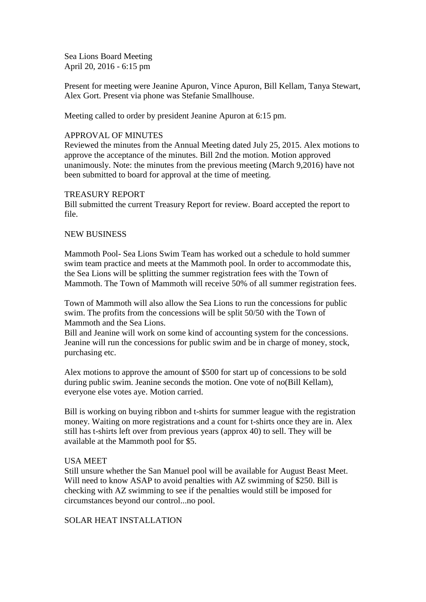Sea Lions Board Meeting April 20, 2016 - 6:15 pm

Present for meeting were Jeanine Apuron, Vince Apuron, Bill Kellam, Tanya Stewart, Alex Gort. Present via phone was Stefanie Smallhouse.

Meeting called to order by president Jeanine Apuron at 6:15 pm.

### APPROVAL OF MINUTES

Reviewed the minutes from the Annual Meeting dated July 25, 2015. Alex motions to approve the acceptance of the minutes. Bill 2nd the motion. Motion approved unanimously. Note: the minutes from the previous meeting (March 9,2016) have not been submitted to board for approval at the time of meeting.

### TREASURY REPORT

Bill submitted the current Treasury Report for review. Board accepted the report to file.

### NEW BUSINESS

Mammoth Pool- Sea Lions Swim Team has worked out a schedule to hold summer swim team practice and meets at the Mammoth pool. In order to accommodate this, the Sea Lions will be splitting the summer registration fees with the Town of Mammoth. The Town of Mammoth will receive 50% of all summer registration fees.

Town of Mammoth will also allow the Sea Lions to run the concessions for public swim. The profits from the concessions will be split 50/50 with the Town of Mammoth and the Sea Lions.

Bill and Jeanine will work on some kind of accounting system for the concessions. Jeanine will run the concessions for public swim and be in charge of money, stock, purchasing etc.

Alex motions to approve the amount of \$500 for start up of concessions to be sold during public swim. Jeanine seconds the motion. One vote of no(Bill Kellam), everyone else votes aye. Motion carried.

Bill is working on buying ribbon and t-shirts for summer league with the registration money. Waiting on more registrations and a count for t-shirts once they are in. Alex still has t-shirts left over from previous years (approx 40) to sell. They will be available at the Mammoth pool for \$5.

### USA MEET

Still unsure whether the San Manuel pool will be available for August Beast Meet. Will need to know ASAP to avoid penalties with AZ swimming of \$250. Bill is checking with AZ swimming to see if the penalties would still be imposed for circumstances beyond our control...no pool.

SOLAR HEAT INSTALLATION